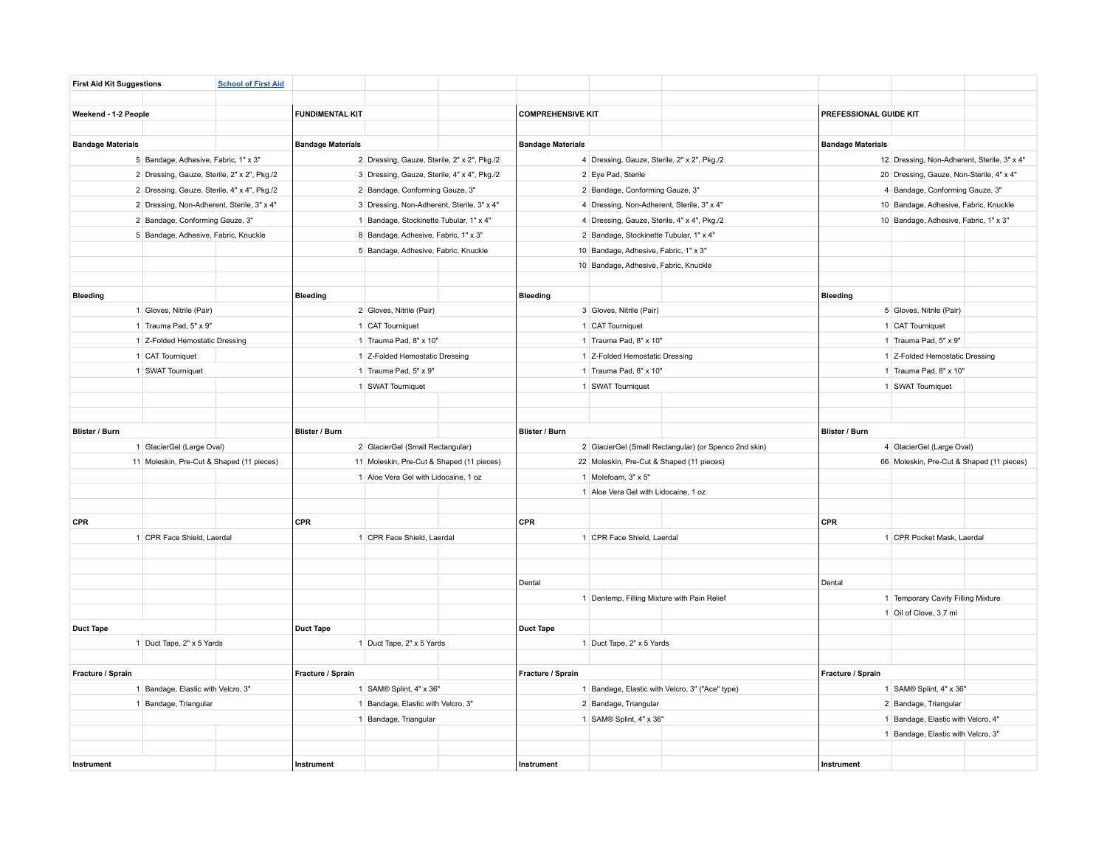| <b>First Aid Kit Suggestions</b> |                                                                                                                       | <b>School of First Aid</b> |                                                                                       |                                             |                                                                                                                                      |                                |                                             |                                                       |                       |                                             |  |
|----------------------------------|-----------------------------------------------------------------------------------------------------------------------|----------------------------|---------------------------------------------------------------------------------------|---------------------------------------------|--------------------------------------------------------------------------------------------------------------------------------------|--------------------------------|---------------------------------------------|-------------------------------------------------------|-----------------------|---------------------------------------------|--|
|                                  |                                                                                                                       |                            |                                                                                       |                                             |                                                                                                                                      |                                |                                             |                                                       |                       |                                             |  |
| Weekend - 1-2 People             |                                                                                                                       | <b>FUNDIMENTAL KIT</b>     |                                                                                       | <b>COMPREHENSIVE KIT</b>                    |                                                                                                                                      |                                | PREFESSIONAL GUIDE KIT                      |                                                       |                       |                                             |  |
|                                  |                                                                                                                       |                            |                                                                                       |                                             |                                                                                                                                      |                                |                                             |                                                       |                       |                                             |  |
| <b>Bandage Materials</b>         |                                                                                                                       | <b>Bandage Materials</b>   |                                                                                       |                                             | <b>Bandage Materials</b>                                                                                                             |                                |                                             | <b>Bandage Materials</b>                              |                       |                                             |  |
|                                  | 5 Bandage, Adhesive, Fabric, 1" x 3"                                                                                  |                            |                                                                                       | 2 Dressing, Gauze, Sterile, 2" x 2", Pkg./2 |                                                                                                                                      |                                | 4 Dressing, Gauze, Sterile, 2" x 2", Pkg./2 |                                                       |                       | 12 Dressing, Non-Adherent, Sterile, 3" x 4" |  |
|                                  | 2 Dressing, Gauze, Sterile, 2" x 2", Pkg./2                                                                           |                            |                                                                                       | 3 Dressing, Gauze, Sterile, 4" x 4", Pkg./2 |                                                                                                                                      |                                | 2 Eye Pad, Sterile                          |                                                       |                       | 20 Dressing, Gauze, Non-Sterile, 4" x 4"    |  |
|                                  | 2 Dressing, Gauze, Sterile, 4" x 4", Pkg./2                                                                           |                            |                                                                                       | 2 Bandage, Conforming Gauze, 3"             |                                                                                                                                      |                                | 2 Bandage, Conforming Gauze, 3"             |                                                       |                       | 4 Bandage, Conforming Gauze, 3"             |  |
|                                  | 2 Dressing, Non-Adherent, Sterile, 3" x 4"<br>2 Bandage, Conforming Gauze, 3"<br>5 Bandage, Adhesive, Fabric, Knuckle |                            | 3 Dressing, Non-Adherent, Sterile, 3" x 4"<br>1 Bandage, Stockinette Tubular, 1" x 4" |                                             | 4 Dressing, Non-Adherent, Sterile, 3" x 4"<br>4 Dressing, Gauze, Sterile, 4" x 4", Pkg./2<br>2 Bandage, Stockinette Tubular, 1" x 4" |                                | 10 Bandage, Adhesive, Fabric, Knuckle       |                                                       |                       |                                             |  |
|                                  |                                                                                                                       |                            |                                                                                       |                                             |                                                                                                                                      |                                |                                             | 10 Bandage, Adhesive, Fabric, 1" x 3"                 |                       |                                             |  |
|                                  |                                                                                                                       |                            | 8 Bandage, Adhesive, Fabric, 1" x 3"                                                  |                                             |                                                                                                                                      |                                |                                             |                                                       |                       |                                             |  |
|                                  |                                                                                                                       |                            |                                                                                       | 5 Bandage, Adhesive, Fabric, Knuckle        |                                                                                                                                      |                                | 10 Bandage, Adhesive, Fabric, 1" x 3"       |                                                       |                       |                                             |  |
|                                  |                                                                                                                       |                            |                                                                                       |                                             |                                                                                                                                      |                                | 10 Bandage, Adhesive, Fabric, Knuckle       |                                                       |                       |                                             |  |
|                                  |                                                                                                                       |                            |                                                                                       |                                             |                                                                                                                                      |                                |                                             |                                                       |                       |                                             |  |
| <b>Bleeding</b>                  |                                                                                                                       |                            | <b>Bleeding</b>                                                                       |                                             |                                                                                                                                      | <b>Bleeding</b>                |                                             |                                                       | <b>Bleeding</b>       |                                             |  |
|                                  | 1 Gloves, Nitrile (Pair)                                                                                              |                            |                                                                                       | 2 Gloves, Nitrile (Pair)                    |                                                                                                                                      |                                | 3 Gloves, Nitrile (Pair)                    |                                                       |                       | 5 Gloves, Nitrile (Pair)                    |  |
|                                  | 1 Trauma Pad, 5" x 9"                                                                                                 |                            | 1 CAT Tourniquet                                                                      |                                             |                                                                                                                                      | 1 CAT Tourniquet               |                                             |                                                       | 1 CAT Tourniquet      |                                             |  |
|                                  | 1 Z-Folded Hemostatic Dressing                                                                                        |                            | 1 Trauma Pad, 8" x 10"                                                                |                                             |                                                                                                                                      | 1 Trauma Pad, 8" x 10"         |                                             |                                                       | 1 Trauma Pad, 5" x 9" |                                             |  |
|                                  | 1 CAT Tourniquet                                                                                                      |                            | 1 Z-Folded Hemostatic Dressing                                                        |                                             |                                                                                                                                      | 1 Z-Folded Hemostatic Dressing |                                             | 1 Z-Folded Hemostatic Dressing                        |                       |                                             |  |
|                                  | 1 SWAT Tourniquet                                                                                                     |                            |                                                                                       | 1 Trauma Pad, 5" x 9"                       |                                                                                                                                      |                                | 1 Trauma Pad, 8" x 10"                      |                                                       |                       | 1 Trauma Pad, 8" x 10"                      |  |
|                                  |                                                                                                                       |                            |                                                                                       | 1 SWAT Tourniquet                           |                                                                                                                                      |                                | 1 SWAT Tourniquet                           |                                                       |                       | 1 SWAT Tourniquet                           |  |
|                                  |                                                                                                                       |                            |                                                                                       |                                             |                                                                                                                                      |                                |                                             |                                                       |                       |                                             |  |
|                                  |                                                                                                                       |                            |                                                                                       |                                             |                                                                                                                                      |                                |                                             |                                                       |                       |                                             |  |
| Blister / Burn                   |                                                                                                                       |                            | Blister / Burn                                                                        |                                             | Blister / Burn                                                                                                                       |                                | Blister / Burn                              |                                                       |                       |                                             |  |
|                                  |                                                                                                                       |                            |                                                                                       |                                             |                                                                                                                                      |                                |                                             |                                                       |                       |                                             |  |
|                                  | 1 GlacierGel (Large Oval)                                                                                             |                            |                                                                                       | 2 GlacierGel (Small Rectangular)            |                                                                                                                                      |                                |                                             | 2 GlacierGel (Small Rectangular) (or Spenco 2nd skin) |                       | 4 GlacierGel (Large Oval)                   |  |
|                                  | 11 Moleskin, Pre-Cut & Shaped (11 pieces)                                                                             |                            |                                                                                       | 11 Moleskin, Pre-Cut & Shaped (11 pieces)   |                                                                                                                                      |                                | 22 Moleskin, Pre-Cut & Shaped (11 pieces)   |                                                       |                       | 66 Moleskin, Pre-Cut & Shaped (11 pieces)   |  |
|                                  |                                                                                                                       |                            |                                                                                       | 1 Aloe Vera Gel with Lidocaine, 1 oz        |                                                                                                                                      |                                | 1 Molefoam, $3" \times 5"$                  |                                                       |                       |                                             |  |
|                                  |                                                                                                                       |                            |                                                                                       |                                             |                                                                                                                                      |                                | 1 Aloe Vera Gel with Lidocaine, 1 oz        |                                                       |                       |                                             |  |
|                                  |                                                                                                                       |                            |                                                                                       |                                             |                                                                                                                                      |                                |                                             |                                                       |                       |                                             |  |
| CPR                              |                                                                                                                       |                            | <b>CPR</b>                                                                            |                                             |                                                                                                                                      | <b>CPR</b>                     |                                             |                                                       | <b>CPR</b>            |                                             |  |
|                                  | 1 CPR Face Shield, Laerdal                                                                                            |                            |                                                                                       | 1 CPR Face Shield, Laerdal                  |                                                                                                                                      |                                | 1 CPR Face Shield, Laerdal                  |                                                       |                       | 1 CPR Pocket Mask, Laerdal                  |  |
|                                  |                                                                                                                       |                            |                                                                                       |                                             |                                                                                                                                      |                                |                                             |                                                       |                       |                                             |  |
|                                  |                                                                                                                       |                            |                                                                                       |                                             |                                                                                                                                      |                                |                                             |                                                       |                       |                                             |  |
|                                  |                                                                                                                       |                            |                                                                                       |                                             |                                                                                                                                      | Dental                         |                                             |                                                       | Dental                |                                             |  |
|                                  |                                                                                                                       |                            |                                                                                       |                                             |                                                                                                                                      |                                | 1 Dentemp, Filling Mixture with Pain Relief |                                                       |                       | 1 Temporary Cavity Filling Mixture          |  |
|                                  |                                                                                                                       |                            |                                                                                       |                                             |                                                                                                                                      |                                |                                             |                                                       |                       | 1 Oil of Clove, 3.7 ml                      |  |
| <b>Duct Tape</b>                 |                                                                                                                       |                            | <b>Duct Tape</b>                                                                      |                                             |                                                                                                                                      | <b>Duct Tape</b>               |                                             |                                                       |                       |                                             |  |
|                                  | 1 Duct Tape, 2" x 5 Yards                                                                                             |                            |                                                                                       | 1 Duct Tape, 2" x 5 Yards                   |                                                                                                                                      |                                | 1 Duct Tape, 2" x 5 Yards                   |                                                       |                       |                                             |  |
|                                  |                                                                                                                       |                            |                                                                                       |                                             |                                                                                                                                      |                                |                                             |                                                       |                       |                                             |  |
| Fracture / Sprain                |                                                                                                                       |                            | Fracture / Sprain                                                                     |                                             |                                                                                                                                      | Fracture / Sprain              |                                             |                                                       | Fracture / Sprain     |                                             |  |
|                                  | 1 Bandage, Elastic with Velcro, 3"                                                                                    |                            |                                                                                       | 1 SAM® Splint, 4" x 36"                     |                                                                                                                                      |                                |                                             | 1 Bandage, Elastic with Velcro, 3" ("Ace" type)       |                       | 1 SAM® Splint, 4" x 36"                     |  |
|                                  | 1 Bandage, Triangular                                                                                                 |                            |                                                                                       | 1 Bandage, Elastic with Velcro, 3"          |                                                                                                                                      |                                | 2 Bandage, Triangular                       |                                                       |                       | 2 Bandage, Triangular                       |  |
|                                  |                                                                                                                       |                            |                                                                                       | 1 Bandage, Triangular                       |                                                                                                                                      |                                | 1 SAM® Splint, 4" x 36"                     |                                                       |                       | 1 Bandage, Elastic with Velcro, 4"          |  |
|                                  |                                                                                                                       |                            |                                                                                       |                                             |                                                                                                                                      |                                |                                             |                                                       |                       | 1 Bandage, Elastic with Velcro, 3"          |  |
|                                  |                                                                                                                       |                            |                                                                                       |                                             |                                                                                                                                      |                                |                                             |                                                       |                       |                                             |  |